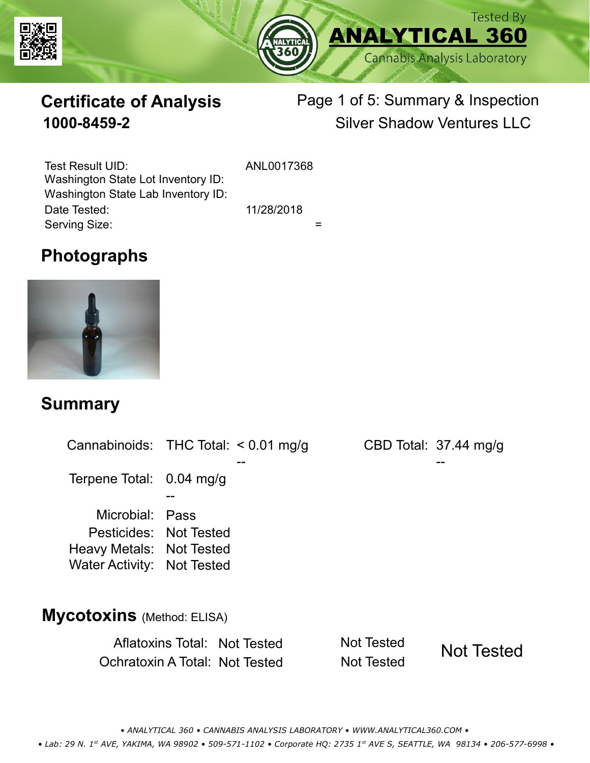



# **Certificate of Analysis**

# Page 1 of 5: Summary & Inspection **1000-8459-2** Silver Shadow Ventures LLC

Serving Size:  $=$ Test Result UID: ANL0017368 Date Tested: 11/28/2018 Washington State Lot Inventory ID: Washington State Lab Inventory ID:

### **Photographs**



#### **Summary**

Cannabinoids: THC Total:  $< 0.01$  mg/g Terpene Total: 0.04 mg/g Microbial: Pass CBD Total: 37.44 mg/g Pesticides: Not Tested Heavy Metals: Not Tested -- -- -- Water Activity: Not Tested **Mycotoxins** (Method: ELISA)

> Aflatoxins Total: Not Tested Not Tested Ochratoxin A Total: Not Tested Not Tested Not Tested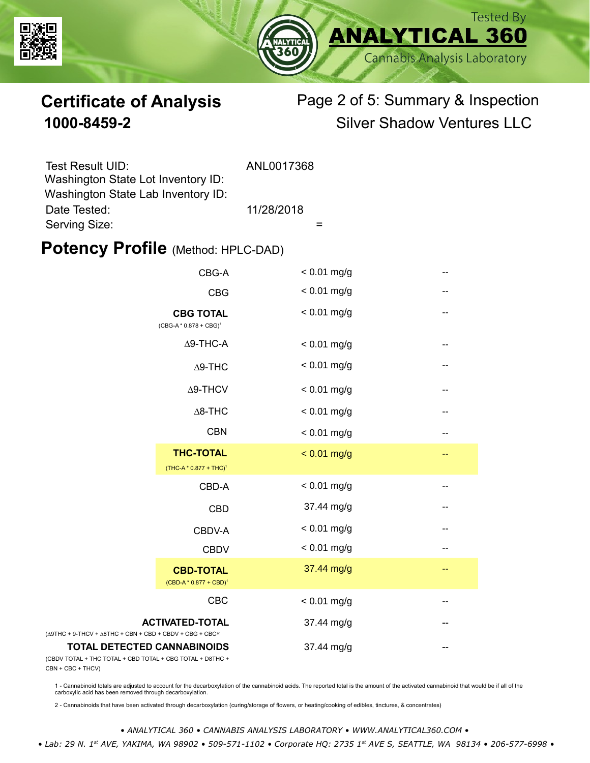



# **Certificate of Analysis** Page 2 of 5: Summary & Inspection **1000-8459-2** Silver Shadow Ventures LLC

| Test Result UID:                   | ANL0017368 |
|------------------------------------|------------|
| Washington State Lot Inventory ID: |            |
| Washington State Lab Inventory ID: |            |
| Date Tested:                       | 11/28/2018 |
| Serving Size:                      |            |

#### **Potency Profile (Method: HPLC-DAD)**

|                                                                                                 | CBG-A                                                | $< 0.01$ mg/g |       |
|-------------------------------------------------------------------------------------------------|------------------------------------------------------|---------------|-------|
|                                                                                                 | <b>CBG</b>                                           | $< 0.01$ mg/g | --    |
|                                                                                                 | <b>CBG TOTAL</b><br>(CBG-A*0.878 + CBG) <sup>1</sup> | $< 0.01$ mg/g | --    |
|                                                                                                 | $\Delta$ 9-THC-A                                     | $< 0.01$ mg/g |       |
|                                                                                                 | $\Delta$ 9-THC                                       | $< 0.01$ mg/g | $-$   |
|                                                                                                 | $\Delta$ 9-THCV                                      | $< 0.01$ mg/g | --    |
|                                                                                                 | $\Delta$ 8-THC                                       | $< 0.01$ mg/g | --    |
|                                                                                                 | <b>CBN</b>                                           | $< 0.01$ mg/g | --    |
|                                                                                                 | <b>THC-TOTAL</b><br>$(THC-A * 0.877 + THC)^1$        | $< 0.01$ mg/g | --    |
|                                                                                                 | CBD-A                                                | $< 0.01$ mg/g | --    |
|                                                                                                 | <b>CBD</b>                                           | 37.44 mg/g    | --    |
|                                                                                                 | CBDV-A                                               | $< 0.01$ mg/g | --    |
|                                                                                                 | <b>CBDV</b>                                          | $< 0.01$ mg/g | $- -$ |
|                                                                                                 | <b>CBD-TOTAL</b><br>$(CBD-A * 0.877 + CBD)^1$        | 37.44 mg/g    | --    |
|                                                                                                 | CBC                                                  | $< 0.01$ mg/g | --    |
| $(\Delta 9THC + 9-THCV + \Delta 8THC + CBN + CBD + CBDV + CBC + CBC)^2$                         | <b>ACTIVATED-TOTAL</b>                               | 37.44 mg/g    | --    |
| <b>TOTAL DETECTED CANNABINOIDS</b><br>(CBDV TOTAL + THC TOTAL + CBD TOTAL + CBG TOTAL + D8THC + |                                                      | 37.44 mg/g    |       |

(CBDV TOTAL + THC TOTAL CBN + CBC + THCV)

1 - Cannabinoid totals are adjusted to account for the decarboxylation of the cannabinoid acids. The reported total is the amount of the activated cannabinoid that would be if all of the<br>carboxylic acid has been removed th

2 - Cannabinoids that have been activated through decarboxylation (curing/storage of flowers, or heating/cooking of edibles, tinctures, & concentrates)

*• ANALYTICAL 360 • CANNABIS ANALYSIS LABORATORY • WWW.ANALYTICAL360.COM • • Lab: 29 N. 1st AVE, YAKIMA, WA 98902 • 509-571-1102 • Corporate HQ: 2735 1st AVE S, SEATTLE, WA 98134 • 206-577-6998 •*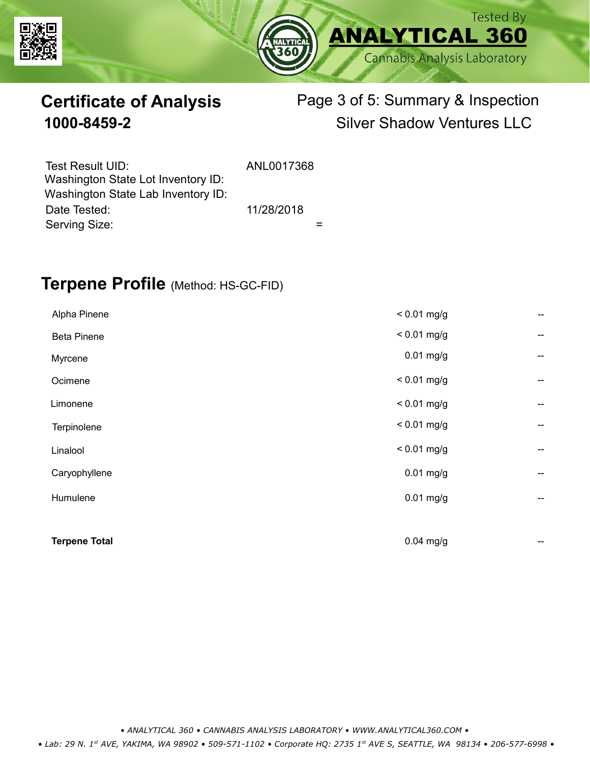



# **Certificate of Analysis** Page 3 of 5: Summary & Inspection **1000-8459-2** Silver Shadow Ventures LLC

| Test Result UID:                   | ANL0017368 |  |
|------------------------------------|------------|--|
| Washington State Lot Inventory ID: |            |  |
| Washington State Lab Inventory ID: |            |  |
| Date Tested:                       | 11/28/2018 |  |
| Serving Size:                      |            |  |

### **Terpene Profile** (Method: HS-GC-FID)

| Humulene                  | $0.01$ mg/g                  | --<br>--                 |
|---------------------------|------------------------------|--------------------------|
| Linalool<br>Caryophyllene | $< 0.01$ mg/g<br>$0.01$ mg/g | $\overline{\phantom{a}}$ |
| Terpinolene               | $< 0.01$ mg/g                | --                       |
| Limonene                  | $< 0.01$ mg/g                | --                       |
| Ocimene                   | $< 0.01$ mg/g                | --                       |
| Myrcene                   | $0.01$ mg/g                  | --                       |
| <b>Beta Pinene</b>        | $< 0.01$ mg/g                | --                       |
| Alpha Pinene              | $< 0.01$ mg/g                | --                       |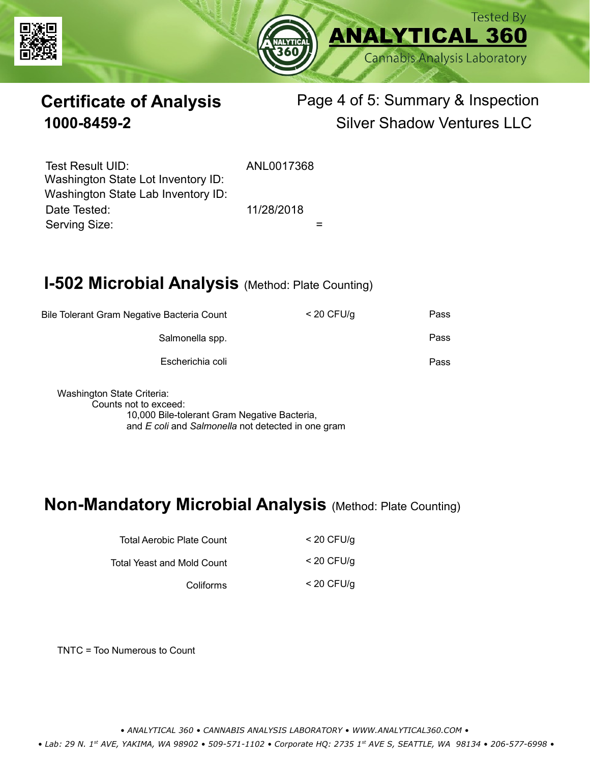



# **Certificate of Analysis** Page 4 of 5: Summary & Inspection **1000-8459-2** Silver Shadow Ventures LLC

Serving Size:  $=$ Test Result UID: ANL0017368 Date Tested: 11/28/2018 Washington State Lot Inventory ID: Washington State Lab Inventory ID:

# **I-502 Microbial Analysis (Method: Plate Counting)**

| Pass | $<$ 20 CFU/g | Bile Tolerant Gram Negative Bacteria Count |
|------|--------------|--------------------------------------------|
| Pass |              | Salmonella spp.                            |
| Pass |              | Escherichia coli                           |
|      |              |                                            |

Washington State Criteria: Counts not to exceed: 10,000 Bile-tolerant Gram Negative Bacteria, and *E coli* and *Salmonella* not detected in one gram

#### **Non-Mandatory Microbial Analysis** (Method: Plate Counting)

| Total Aerobic Plate Count  | $<$ 20 CFU/g |
|----------------------------|--------------|
| Total Yeast and Mold Count | $<$ 20 CFU/a |
| Coliforms                  | $<$ 20 CFU/g |

TNTC = Too Numerous to Count

*• ANALYTICAL 360 • CANNABIS ANALYSIS LABORATORY • WWW.ANALYTICAL360.COM •*